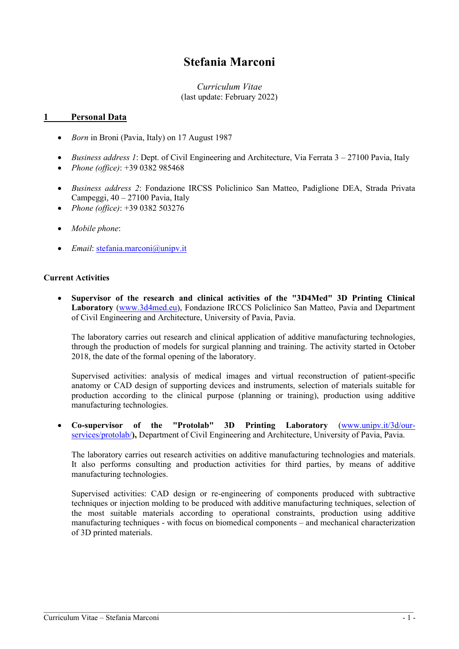# **Stefania Marconi**

## *Curriculum Vitae* (last update: February 2022)

#### **1 Personal Data**

- *Born* in Broni (Pavia, Italy) on 17 August 1987
- *Business address 1*: Dept. of Civil Engineering and Architecture, Via Ferrata 3 27100 Pavia, Italy
- *Phone (office)*: +39 0382 985468
- *Business address 2*: Fondazione IRCSS Policlinico San Matteo, Padiglione DEA, Strada Privata Campeggi, 40 – 27100 Pavia, Italy
- *Phone (office)*: +39 0382 503276
- *Mobile phone*:
- *Email*: [stefania.marconi@unipv.it](mailto:stefania.marconi@unipv.it)

#### **Current Activities**

• **Supervisor of the research and clinical activities of the "3D4Med" 3D Printing Clinical Laboratory** [\(www.3d4med.eu\)](http://www.3d4med.eu/), Fondazione IRCCS Policlinico San Matteo, Pavia and Department of Civil Engineering and Architecture, University of Pavia, Pavia.

The laboratory carries out research and clinical application of additive manufacturing technologies, through the production of models for surgical planning and training. The activity started in October 2018, the date of the formal opening of the laboratory.

Supervised activities: analysis of medical images and virtual reconstruction of patient-specific anatomy or CAD design of supporting devices and instruments, selection of materials suitable for production according to the clinical purpose (planning or training), production using additive manufacturing technologies.

• **Co-supervisor of the "Protolab" 3D Printing Laboratory** [\(www.unipv.it/3d/our](http://www.unipv.it/3d/our-services/protolab/)[services/protolab/](http://www.unipv.it/3d/our-services/protolab/)**),** Department of Civil Engineering and Architecture, University of Pavia, Pavia.

The laboratory carries out research activities on additive manufacturing technologies and materials. It also performs consulting and production activities for third parties, by means of additive manufacturing technologies.

Supervised activities: CAD design or re-engineering of components produced with subtractive techniques or injection molding to be produced with additive manufacturing techniques, selection of the most suitable materials according to operational constraints, production using additive manufacturing techniques - with focus on biomedical components – and mechanical characterization of 3D printed materials.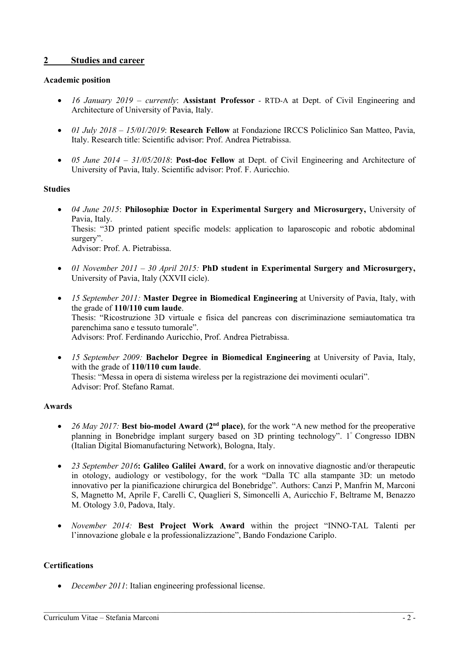# **2 Studies and career**

#### **Academic position**

- *16 January 2019 – currently*: **Assistant Professor** RTD-A at Dept. of Civil Engineering and Architecture of University of Pavia, Italy.
- *01 July 2018 – 15/01/2019*: **Research Fellow** at Fondazione IRCCS Policlinico San Matteo, Pavia, Italy. Research title: Scientific advisor: Prof. Andrea Pietrabissa.
- *05 June 2014 – 31/05/2018*: **Post-doc Fellow** at Dept. of Civil Engineering and Architecture of University of Pavia, Italy. Scientific advisor: Prof. F. Auricchio.

#### **Studies**

- *04 June 2015*: **Philosophiæ Doctor in Experimental Surgery and Microsurgery,** University of Pavia, Italy. Thesis: "3D printed patient specific models: application to laparoscopic and robotic abdominal surgery". Advisor: Prof. A. Pietrabissa.
- *01 November 2011 – 30 April 2015:* **PhD student in Experimental Surgery and Microsurgery,** University of Pavia, Italy (XXVII cicle).
- *15 September 2011:* **Master Degree in Biomedical Engineering** at University of Pavia, Italy, with the grade of **110/110 cum laude**. Thesis: "Ricostruzione 3D virtuale e fisica del pancreas con discriminazione semiautomatica tra parenchima sano e tessuto tumorale". Advisors: Prof. Ferdinando Auricchio, Prof. Andrea Pietrabissa.
- *15 September 2009:* **Bachelor Degree in Biomedical Engineering** at University of Pavia, Italy, with the grade of **110/110 cum laude**. Thesis: "Messa in opera di sistema wireless per la registrazione dei movimenti oculari". Advisor: Prof. Stefano Ramat.

# **Awards**

- *26 May 2017:* **Best bio-model Award (2nd place)**, for the work "A new method for the preoperative planning in Bonebridge implant surgery based on 3D printing technology". 1° Congresso IDBN (Italian Digital Biomanufacturing Network), Bologna, Italy.
- *23 September 2016***: Galileo Galilei Award**, for a work on innovative diagnostic and/or therapeutic in otology, audiology or vestibology, for the work "Dalla TC alla stampante 3D: un metodo innovativo per la pianificazione chirurgica del Bonebridge". Authors: Canzi P, Manfrin M, Marconi S, Magnetto M, Aprile F, Carelli C, Quaglieri S, Simoncelli A, Auricchio F, Beltrame M, Benazzo M. Otology 3.0, Padova, Italy.
- *November 2014:* **Best Project Work Award** within the project "INNO-TAL Talenti per l'innovazione globale e la professionalizzazione", Bando Fondazione Cariplo.

# **Certifications**

• *December 2011*: Italian engineering professional license.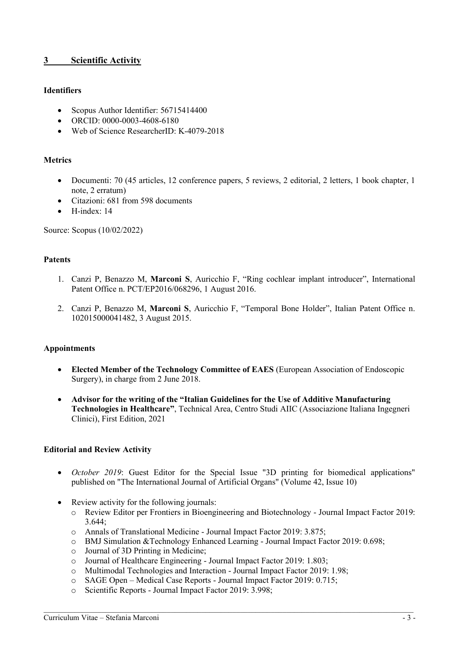# **3 Scientific Activity**

## **Identifiers**

- Scopus Author Identifier: 56715414400
- ORCID: 0000-0003-4608-6180
- Web of Science ResearcherID: K-4079-2018

#### **Metrics**

- Documenti: 70 (45 articles, 12 conference papers, 5 reviews, 2 editorial, 2 letters, 1 book chapter, 1 note, 2 erratum)
- Citazioni: 681 from 598 documents
- H-index: 14

Source: Scopus (10/02/2022)

#### **Patents**

- 1. Canzi P, Benazzo M, **Marconi S**, Auricchio F, "Ring cochlear implant introducer", International Patent Office n. PCT/EP2016/068296, 1 August 2016.
- 2. Canzi P, Benazzo M, **Marconi S**, Auricchio F, "Temporal Bone Holder", Italian Patent Office n. 102015000041482, 3 August 2015.

#### **Appointments**

- **Elected Member of the Technology Committee of EAES** (European Association of Endoscopic Surgery), in charge from 2 June 2018.
- **Advisor for the writing of the "Italian Guidelines for the Use of Additive Manufacturing Technologies in Healthcare"**, Technical Area, Centro Studi AIIC (Associazione Italiana Ingegneri Clinici), First Edition, 2021

#### **Editorial and Review Activity**

- *October 2019*: Guest Editor for the Special Issue "3D printing for biomedical applications" published on "The International Journal of Artificial Organs" (Volume 42, Issue 10)
- Review activity for the following journals:
	- o Review Editor per Frontiers in Bioengineering and Biotechnology Journal Impact Factor 2019: 3.644;
	- o Annals of Translational Medicine Journal Impact Factor 2019: 3.875;
	- o BMJ Simulation &Technology Enhanced Learning Journal Impact Factor 2019: 0.698;
	- o Journal of 3D Printing in Medicine;
	- o Journal of Healthcare Engineering Journal Impact Factor 2019: 1.803;
	- o Multimodal Technologies and Interaction Journal Impact Factor 2019: 1.98;
	- o SAGE Open Medical Case Reports Journal Impact Factor 2019: 0.715;
	- o Scientific Reports Journal Impact Factor 2019: 3.998;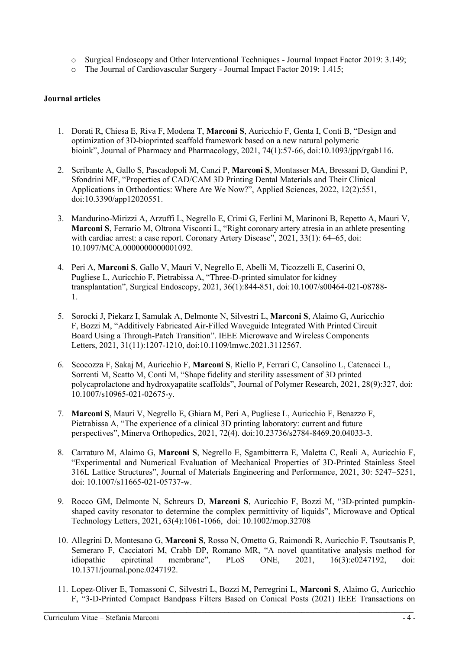- o Surgical Endoscopy and Other Interventional Techniques Journal Impact Factor 2019: 3.149;
- o The Journal of Cardiovascular Surgery Journal Impact Factor 2019: 1.415;

#### **Journal articles**

- 1. Dorati R, Chiesa E, Riva F, Modena T, **Marconi S**, Auricchio F, Genta I, Conti B, "Design and optimization of 3D-bioprinted scaffold framework based on a new natural polymeric bioink", Journal of Pharmacy and Pharmacology, 2021, 74(1):57-66, doi:10.1093/jpp/rgab116.
- 2. Scribante A, Gallo S, Pascadopoli M, Canzi P, **Marconi S**, Montasser MA, Bressani D, Gandini P, Sfondrini MF, "Properties of CAD/CAM 3D Printing Dental Materials and Their Clinical Applications in Orthodontics: Where Are We Now?", Applied Sciences, 2022, 12(2):551, doi:10.3390/app12020551.
- 3. Mandurino-Mirizzi A, Arzuffi L, Negrello E, Crimi G, Ferlini M, Marinoni B, Repetto A, Mauri V, **Marconi S**, Ferrario M, Oltrona Visconti L, "Right coronary artery atresia in an athlete presenting with cardiac arrest: a case report. Coronary Artery Disease", 2021, 33(1): 64–65, doi: 10.1097/MCA.0000000000001092.
- 4. Peri A, **Marconi S**, Gallo V, Mauri V, Negrello E, Abelli M, Ticozzelli E, Caserini O, Pugliese L, Auricchio F, Pietrabissa A, "Three-D-printed simulator for kidney transplantation", Surgical Endoscopy, 2021, 36(1):844-851, doi:10.1007/s00464-021-08788- 1.
- 5. Sorocki J, Piekarz I, Samulak A, Delmonte N, Silvestri L, **Marconi S**, Alaimo G, Auricchio F, Bozzi M, "Additively Fabricated Air-Filled Waveguide Integrated With Printed Circuit Board Using a Through-Patch Transition". IEEE Microwave and Wireless Components Letters, 2021, 31(11):1207-1210, doi:10.1109/lmwc.2021.3112567.
- 6. Scocozza F, Sakaj M, Auricchio F, **Marconi S**, Riello P, Ferrari C, Cansolino L, Catenacci L, Sorrenti M, Scatto M, Conti M, "Shape fidelity and sterility assessment of 3D printed polycaprolactone and hydroxyapatite scaffolds", Journal of Polymer Research, 2021, 28(9):327, doi: 10.1007/s10965-021-02675-y.
- 7. **Marconi S**, Mauri V, Negrello E, Ghiara M, Peri A, Pugliese L, Auricchio F, Benazzo F, Pietrabissa A, "The experience of a clinical 3D printing laboratory: current and future perspectives", Minerva Orthopedics, 2021, 72(4). doi:10.23736/s2784-8469.20.04033-3.
- 8. Carraturo M, Alaimo G, **Marconi S**, Negrello E, Sgambitterra E, Maletta C, Reali A, Auricchio F, "Experimental and Numerical Evaluation of Mechanical Properties of 3D-Printed Stainless Steel 316L Lattice Structures", Journal of Materials Engineering and Performance, 2021, 30: 5247–5251, doi: 10.1007/s11665-021-05737-w.
- 9. Rocco GM, Delmonte N, Schreurs D, **Marconi S**, Auricchio F, Bozzi M, "3D-printed pumpkinshaped cavity resonator to determine the complex permittivity of liquids", Microwave and Optical Technology Letters, 2021, 63(4):1061-1066, doi: 10.1002/mop.32708
- 10. Allegrini D, Montesano G, **Marconi S**, Rosso N, Ometto G, Raimondi R, Auricchio F, Tsoutsanis P, Semeraro F, Cacciatori M, Crabb DP, Romano MR, "A novel quantitative analysis method for idiopathic epiretinal membrane", PLoS ONE, 2021, 16(3):e0247192, doi: 10.1371/journal.pone.0247192.
- 11. Lopez-Oliver E, Tomassoni C, Silvestri L, Bozzi M, Perregrini L, **Marconi S**, Alaimo G, Auricchio F, "3-D-Printed Compact Bandpass Filters Based on Conical Posts (2021) IEEE Transactions on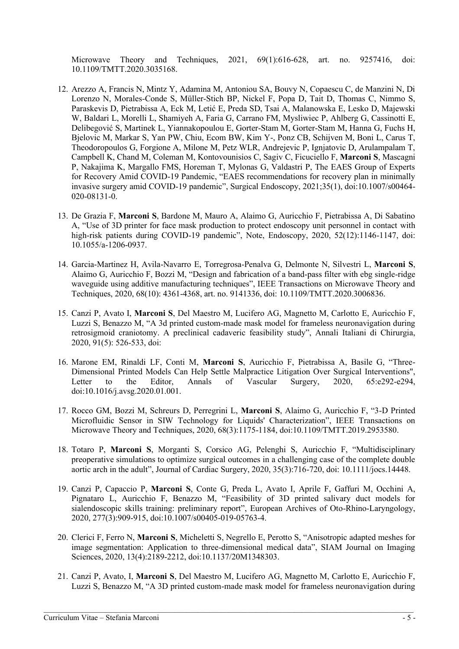Microwave Theory and Techniques, 2021, 69(1):616-628, art. no. 9257416, doi: 10.1109/TMTT.2020.3035168.

- 12. Arezzo A, Francis N, Mintz Y, Adamina M, Antoniou SA, Bouvy N, Copaescu C, de Manzini N, Di Lorenzo N, Morales-Conde S, Müller-Stich BP, Nickel F, Popa D, Tait D, Thomas C, Nimmo S, Paraskevis D, Pietrabissa A, Eck M, Letić E, Preda SD, Tsai A, Malanowska E, Lesko D, Majewski W, Baldari L, Morelli L, Shamiyeh A, Faria G, Carrano FM, Mysliwiec P, Ahlberg G, Cassinotti E, Delibegović S, Martinek L, Yiannakopoulou E, Gorter-Stam M, Gorter-Stam M, Hanna G, Fuchs H, Bjelovic M, Markar S, Yan PW, Chiu, Ecom BW, Kim Y-, Ponz CB, Schijven M, Boni L, Carus T, Theodoropoulos G, Forgione A, Milone M, Petz WLR, Andrejevic P, Ignjatovic D, Arulampalam T, Campbell K, Chand M, Coleman M, Kontovounisios C, Sagiv C, Ficuciello F, **Marconi S**, Mascagni P, Nakajima K, Margallo FMS, Horeman T, Mylonas G, Valdastri P, The EAES Group of Experts for Recovery Amid COVID-19 Pandemic, "EAES recommendations for recovery plan in minimally invasive surgery amid COVID-19 pandemic", Surgical Endoscopy, 2021;35(1), doi:10.1007/s00464- 020-08131-0.
- 13. De Grazia F, **Marconi S**, Bardone M, Mauro A, Alaimo G, Auricchio F, Pietrabissa A, Di Sabatino A, "Use of 3D printer for face mask production to protect endoscopy unit personnel in contact with high-risk patients during COVID-19 pandemic", Note, Endoscopy, 2020, 52(12):1146-1147, doi: 10.1055/a-1206-0937.
- 14. Garcia-Martinez H, Avila-Navarro E, Torregrosa-Penalva G, Delmonte N, Silvestri L, **Marconi S**, Alaimo G, Auricchio F, Bozzi M, "Design and fabrication of a band-pass filter with ebg single-ridge waveguide using additive manufacturing techniques", IEEE Transactions on Microwave Theory and Techniques, 2020, 68(10): 4361-4368, art. no. 9141336, doi: 10.1109/TMTT.2020.3006836.
- 15. Canzi P, Avato I, **Marconi S**, Del Maestro M, Lucifero AG, Magnetto M, Carlotto E, Auricchio F, Luzzi S, Benazzo M, "A 3d printed custom-made mask model for frameless neuronavigation during retrosigmoid craniotomy. A preclinical cadaveric feasibility study", Annali Italiani di Chirurgia, 2020, 91(5): 526-533, doi:
- 16. Marone EM, Rinaldi LF, Conti M, **Marconi S**, Auricchio F, Pietrabissa A, Basile G, "Three-Dimensional Printed Models Can Help Settle Malpractice Litigation Over Surgical Interventions", Letter to the Editor, Annals of Vascular Surgery, 2020, 65:e292-e294, doi:10.1016/j.avsg.2020.01.001.
- 17. Rocco GM, Bozzi M, Schreurs D, Perregrini L, **Marconi S**, Alaimo G, Auricchio F, "3-D Printed Microfluidic Sensor in SIW Technology for Liquids' Characterization", IEEE Transactions on Microwave Theory and Techniques, 2020, 68(3):1175-1184, doi:10.1109/TMTT.2019.2953580.
- 18. Totaro P, **Marconi S**, Morganti S, Corsico AG, Pelenghi S, Auricchio F, "Multidisciplinary preoperative simulations to optimize surgical outcomes in a challenging case of the complete double aortic arch in the adult", Journal of Cardiac Surgery, 2020, 35(3):716-720, doi: 10.1111/jocs.14448.
- 19. Canzi P, Capaccio P, **Marconi S**, Conte G, Preda L, Avato I, Aprile F, Gaffuri M, Occhini A, Pignataro L, Auricchio F, Benazzo M, "Feasibility of 3D printed salivary duct models for sialendoscopic skills training: preliminary report", European Archives of Oto-Rhino-Laryngology, 2020, 277(3):909-915, doi:10.1007/s00405-019-05763-4.
- 20. Clerici F, Ferro N, **Marconi S**, Micheletti S, Negrello E, Perotto S, "Anisotropic adapted meshes for image segmentation: Application to three-dimensional medical data", SIAM Journal on Imaging Sciences, 2020, 13(4):2189-2212, doi:10.1137/20M1348303.
- 21. Canzi P, Avato, I, **Marconi S**, Del Maestro M, Lucifero AG, Magnetto M, Carlotto E, Auricchio F, Luzzi S, Benazzo M, "A 3D printed custom-made mask model for frameless neuronavigation during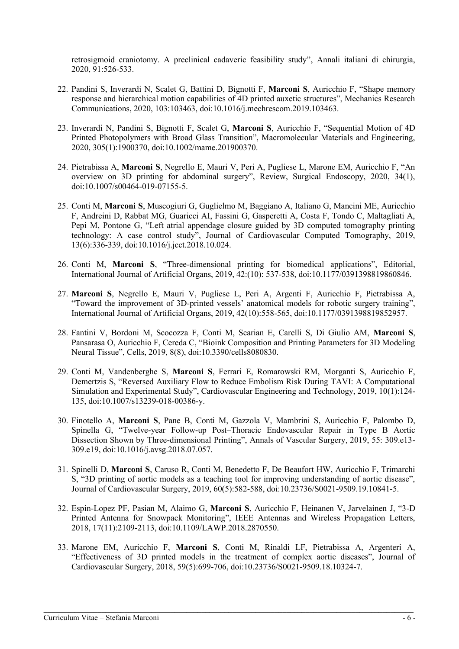retrosigmoid craniotomy. A preclinical cadaveric feasibility study", Annali italiani di chirurgia, 2020, 91:526-533.

- 22. Pandini S, Inverardi N, Scalet G, Battini D, Bignotti F, **Marconi S**, Auricchio F, "Shape memory response and hierarchical motion capabilities of 4D printed auxetic structures", Mechanics Research Communications, 2020, 103:103463, doi:10.1016/j.mechrescom.2019.103463.
- 23. Inverardi N, Pandini S, Bignotti F, Scalet G, **Marconi S**, Auricchio F, "Sequential Motion of 4D Printed Photopolymers with Broad Glass Transition", Macromolecular Materials and Engineering, 2020, 305(1):1900370, doi:10.1002/mame.201900370.
- 24. Pietrabissa A, **Marconi S**, Negrello E, Mauri V, Peri A, Pugliese L, Marone EM, Auricchio F, "An overview on 3D printing for abdominal surgery", Review, Surgical Endoscopy, 2020, 34(1), doi:10.1007/s00464-019-07155-5.
- 25. Conti M, **Marconi S**, Muscogiuri G, Guglielmo M, Baggiano A, Italiano G, Mancini ME, Auricchio F, Andreini D, Rabbat MG, Guaricci AI, Fassini G, Gasperetti A, Costa F, Tondo C, Maltagliati A, Pepi M, Pontone G, "Left atrial appendage closure guided by 3D computed tomography printing technology: A case control study", Journal of Cardiovascular Computed Tomography, 2019, 13(6):336-339, doi:10.1016/j.jcct.2018.10.024.
- 26. Conti M, **Marconi S**, "Three-dimensional printing for biomedical applications", Editorial, International Journal of Artificial Organs, 2019, 42:(10): 537-538, doi:10.1177/0391398819860846.
- 27. **Marconi S**, Negrello E, Mauri V, Pugliese L, Peri A, Argenti F, Auricchio F, Pietrabissa A, "Toward the improvement of 3D-printed vessels' anatomical models for robotic surgery training", International Journal of Artificial Organs, 2019, 42(10):558-565, doi:10.1177/0391398819852957.
- 28. Fantini V, Bordoni M, Scocozza F, Conti M, Scarian E, Carelli S, Di Giulio AM, **Marconi S**, Pansarasa O, Auricchio F, Cereda C, "Bioink Composition and Printing Parameters for 3D Modeling Neural Tissue", Cells, 2019, 8(8), doi:10.3390/cells8080830.
- 29. Conti M, Vandenberghe S, **Marconi S**, Ferrari E, Romarowski RM, Morganti S, Auricchio F, Demertzis S, "Reversed Auxiliary Flow to Reduce Embolism Risk During TAVI: A Computational Simulation and Experimental Study", Cardiovascular Engineering and Technology, 2019, 10(1):124- 135, doi:10.1007/s13239-018-00386-y.
- 30. Finotello A, **Marconi S**, Pane B, Conti M, Gazzola V, Mambrini S, Auricchio F, Palombo D, Spinella G, "Twelve-year Follow-up Post–Thoracic Endovascular Repair in Type B Aortic Dissection Shown by Three-dimensional Printing", Annals of Vascular Surgery, 2019, 55: 309.e13- 309.e19, doi:10.1016/j.avsg.2018.07.057.
- 31. Spinelli D, **Marconi S**, Caruso R, Conti M, Benedetto F, De Beaufort HW, Auricchio F, Trimarchi S, "3D printing of aortic models as a teaching tool for improving understanding of aortic disease", Journal of Cardiovascular Surgery, 2019, 60(5):582-588, doi:10.23736/S0021-9509.19.10841-5.
- 32. Espin-Lopez PF, Pasian M, Alaimo G, **Marconi S**, Auricchio F, Heinanen V, Jarvelainen J, "3-D Printed Antenna for Snowpack Monitoring", IEEE Antennas and Wireless Propagation Letters, 2018, 17(11):2109-2113, doi:10.1109/LAWP.2018.2870550.
- 33. Marone EM, Auricchio F, **Marconi S**, Conti M, Rinaldi LF, Pietrabissa A, Argenteri A, "Effectiveness of 3D printed models in the treatment of complex aortic diseases", Journal of Cardiovascular Surgery, 2018, 59(5):699-706, doi:10.23736/S0021-9509.18.10324-7.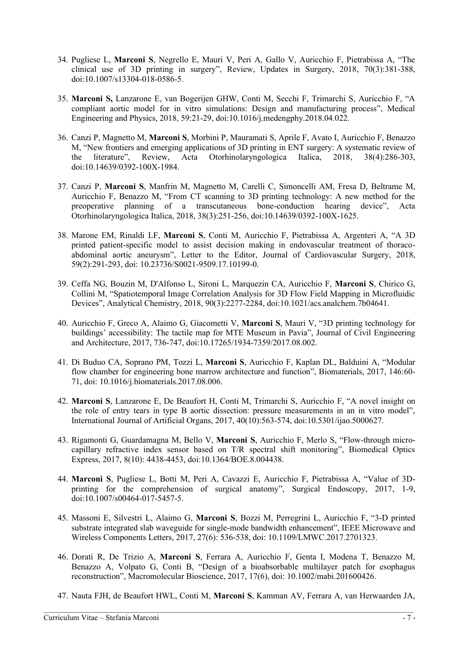- 34. Pugliese L, **Marconi S**, Negrello E, Mauri V, Peri A, Gallo V, Auricchio F, Pietrabissa A, "The clinical use of 3D printing in surgery", Review, Updates in Surgery, 2018, 70(3):381-388, doi:10.1007/s13304-018-0586-5.
- 35. **Marconi S,** Lanzarone E, van Bogerijen GHW, Conti M, Secchi F, Trimarchi S, Auricchio F, "A compliant aortic model for in vitro simulations: Design and manufacturing process", Medical Engineering and Physics, 2018, 59:21-29, doi:10.1016/j.medengphy.2018.04.022.
- 36. Canzi P, Magnetto M, **Marconi S**, Morbini P, Mauramati S, Aprile F, Avato I, Auricchio F, Benazzo M, "New frontiers and emerging applications of 3D printing in ENT surgery: A systematic review of the literature", Review, Acta Otorhinolaryngologica Italica, 2018, 38(4):286-303, doi:10.14639/0392-100X-1984.
- 37. Canzi P, **Marconi S**, Manfrin M, Magnetto M, Carelli C, Simoncelli AM, Fresa D, Beltrame M, Auricchio F, Benazzo M, "From CT scanning to 3D printing technology: A new method for the preoperative planning of a transcutaneous bone-conduction hearing device", Acta Otorhinolaryngologica Italica, 2018, 38(3):251-256, doi:10.14639/0392-100X-1625.
- 38. Marone EM, Rinaldi LF, **Marconi S**, Conti M, Auricchio F, Pietrabissa A, Argenteri A, "A 3D printed patient-specific model to assist decision making in endovascular treatment of thoracoabdominal aortic aneurysm", Letter to the Editor, Journal of Cardiovascular Surgery, 2018, 59(2):291-293, doi: 10.23736/S0021-9509.17.10199-0.
- 39. Ceffa NG, Bouzin M, D'Alfonso L, Sironi L, Marquezin CA, Auricchio F, **Marconi S**, Chirico G, Collini M, "Spatiotemporal Image Correlation Analysis for 3D Flow Field Mapping in Microfluidic Devices", Analytical Chemistry, 2018, 90(3):2277-2284, doi:10.1021/acs.analchem.7b04641.
- 40. Auricchio F, Greco A, Alaimo G, Giacometti V, **Marconi S**, Mauri V, "3D printing technology for buildings' accessibility: The tactile map for MTE Museum in Pavia", Journal of Civil Engineering and Architecture, 2017, 736-747, doi:10.17265/1934-7359/2017.08.002.
- 41. Di Buduo CA, Soprano PM, Tozzi L, **Marconi S**, Auricchio F, Kaplan DL, Balduini A, "Modular flow chamber for engineering bone marrow architecture and function", Biomaterials, 2017, 146:60- 71, doi: 10.1016/j.biomaterials.2017.08.006.
- 42. **Marconi S**, Lanzarone E, De Beaufort H, Conti M, Trimarchi S, Auricchio F, "A novel insight on the role of entry tears in type B aortic dissection: pressure measurements in an in vitro model", International Journal of Artificial Organs, 2017, 40(10):563-574, doi:10.5301/ijao.5000627.
- 43. Rigamonti G, Guardamagna M, Bello V, **Marconi S**, Auricchio F, Merlo S, "Flow-through microcapillary refractive index sensor based on T/R spectral shift monitoring", Biomedical Optics Express, 2017, 8(10): 4438-4453, doi:10.1364/BOE.8.004438.
- 44. **Marconi S**, Pugliese L, Botti M, Peri A, Cavazzi E, Auricchio F, Pietrabissa A, "Value of 3Dprinting for the comprehension of surgical anatomy", Surgical Endoscopy, 2017, 1-9, doi:10.1007/s00464-017-5457-5.
- 45. Massoni E, Silvestri L, Alaimo G, **Marconi S**, Bozzi M, Perregrini L, Auricchio F, "3-D printed substrate integrated slab waveguide for single-mode bandwidth enhancement", IEEE Microwave and Wireless Components Letters, 2017, 27(6): 536-538, doi: 10.1109/LMWC.2017.2701323.
- 46. Dorati R, De Trizio A, **Marconi S**, Ferrara A, Auricchio F, Genta I, Modena T, Benazzo M, Benazzo A, Volpato G, Conti B, "Design of a bioabsorbable multilayer patch for esophagus reconstruction", Macromolecular Bioscience, 2017, 17(6), doi: 10.1002/mabi.201600426.
- 47. Nauta FJH, de Beaufort HWL, Conti M, **Marconi S**, Kamman AV, Ferrara A, van Herwaarden JA,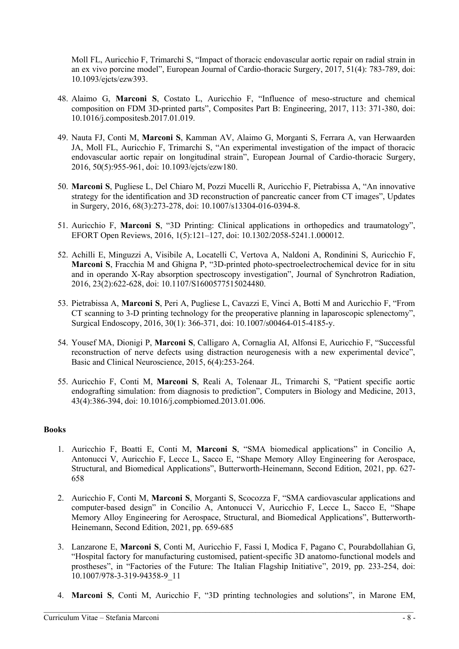Moll FL, Auricchio F, Trimarchi S, "Impact of thoracic endovascular aortic repair on radial strain in an ex vivo porcine model", European Journal of Cardio-thoracic Surgery, 2017, 51(4): 783-789, doi: 10.1093/ejcts/ezw393.

- 48. Alaimo G, **Marconi S**, Costato L, Auricchio F, "Influence of meso-structure and chemical composition on FDM 3D-printed parts", Composites Part B: Engineering, 2017, 113: 371-380, doi: 10.1016/j.compositesb.2017.01.019.
- 49. Nauta FJ, Conti M, **Marconi S**, Kamman AV, Alaimo G, Morganti S, Ferrara A, van Herwaarden JA, Moll FL, Auricchio F, Trimarchi S, "An experimental investigation of the impact of thoracic endovascular aortic repair on longitudinal strain", European Journal of Cardio-thoracic Surgery, 2016, 50(5):955-961, doi: 10.1093/ejcts/ezw180.
- 50. **Marconi S**, Pugliese L, Del Chiaro M, Pozzi Mucelli R, Auricchio F, Pietrabissa A, "An innovative strategy for the identification and 3D reconstruction of pancreatic cancer from CT images", Updates in Surgery, 2016, 68(3):273-278, doi: 10.1007/s13304-016-0394-8.
- 51. Auricchio F, **Marconi S**, "3D Printing: Clinical applications in orthopedics and traumatology", EFORT Open Reviews, 2016, 1(5):121–127, doi: 10.1302/2058-5241.1.000012.
- 52. Achilli E, Minguzzi A, Visibile A, Locatelli C, Vertova A, Naldoni A, Rondinini S, Auricchio F, **Marconi S**, Fracchia M and Ghigna P, "3D-printed photo-spectroelectrochemical device for in situ and in operando X-Ray absorption spectroscopy investigation", Journal of Synchrotron Radiation, 2016, 23(2):622-628, doi: 10.1107/S1600577515024480.
- 53. Pietrabissa A, **Marconi S**, Peri A, Pugliese L, Cavazzi E, Vinci A, Botti M and Auricchio F, "From CT scanning to 3-D printing technology for the preoperative planning in laparoscopic splenectomy", Surgical Endoscopy, 2016, 30(1): 366-371, doi: 10.1007/s00464-015-4185-y.
- 54. Yousef MA, Dionigi P, **Marconi S**, Calligaro A, Cornaglia AI, Alfonsi E, Auricchio F, "Successful reconstruction of nerve defects using distraction neurogenesis with a new experimental device", Basic and Clinical Neuroscience, 2015, 6(4):253-264.
- 55. Auricchio F, Conti M, **Marconi S**, Reali A, Tolenaar JL, Trimarchi S, "Patient specific aortic endografting simulation: from diagnosis to prediction", Computers in Biology and Medicine, 2013, 43(4):386-394, doi: 10.1016/j.compbiomed.2013.01.006.

#### **Books**

- 1. Auricchio F, Boatti E, Conti M, **Marconi S**, "SMA biomedical applications" in Concilio A, Antonucci V, Auricchio F, Lecce L, Sacco E, "Shape Memory Alloy Engineering for Aerospace, Structural, and Biomedical Applications", Butterworth-Heinemann, Second Edition, 2021, pp. 627- 658
- 2. Auricchio F, Conti M, **Marconi S**, Morganti S, Scocozza F, "SMA cardiovascular applications and computer-based design" in Concilio A, Antonucci V, Auricchio F, Lecce L, Sacco E, "Shape Memory Alloy Engineering for Aerospace, Structural, and Biomedical Applications", Butterworth-Heinemann, Second Edition, 2021, pp. 659-685
- 3. Lanzarone E, **Marconi S**, Conti M, Auricchio F, Fassi I, Modica F, Pagano C, Pourabdollahian G, "Hospital factory for manufacturing customised, patient-specific 3D anatomo-functional models and prostheses", in "Factories of the Future: The Italian Flagship Initiative", 2019, pp. 233-254, doi: 10.1007/978-3-319-94358-9\_11
- 4. **Marconi S**, Conti M, Auricchio F, "3D printing technologies and solutions", in Marone EM,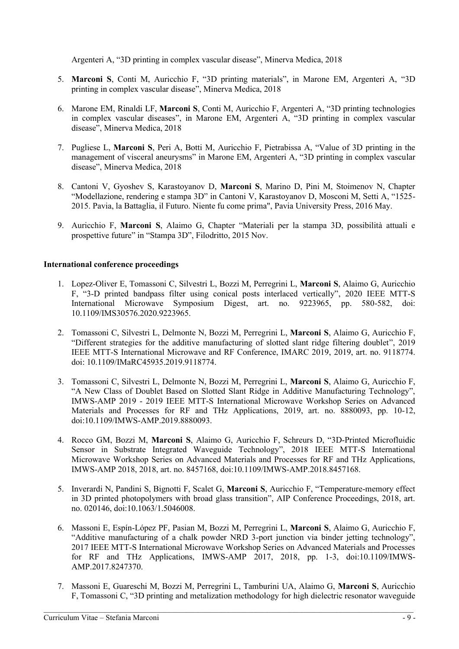Argenteri A, "3D printing in complex vascular disease", Minerva Medica, 2018

- 5. **Marconi S**, Conti M, Auricchio F, "3D printing materials", in Marone EM, Argenteri A, "3D printing in complex vascular disease", Minerva Medica, 2018
- 6. Marone EM, Rinaldi LF, **Marconi S**, Conti M, Auricchio F, Argenteri A, "3D printing technologies in complex vascular diseases", in Marone EM, Argenteri A, "3D printing in complex vascular disease", Minerva Medica, 2018
- 7. Pugliese L, **Marconi S**, Peri A, Botti M, Auricchio F, Pietrabissa A, "Value of 3D printing in the management of visceral aneurysms" in Marone EM, Argenteri A, "3D printing in complex vascular disease", Minerva Medica, 2018
- 8. Cantoni V, Gyoshev S, Karastoyanov D, **Marconi S**, Marino D, Pini M, Stoimenov N, Chapter "Modellazione, rendering e stampa 3D" in Cantoni V, Karastoyanov D, Mosconi M, Setti A, "1525- 2015. Pavia, la Battaglia, il Futuro. Niente fu come prima", Pavia University Press, 2016 May.
- 9. Auricchio F, **Marconi S**, Alaimo G, Chapter "Materiali per la stampa 3D, possibilità attuali e prospettive future" in "Stampa 3D", Filodritto, 2015 Nov.

# **International conference proceedings**

- 1. Lopez-Oliver E, Tomassoni C, Silvestri L, Bozzi M, Perregrini L, **Marconi S**, Alaimo G, Auricchio F, "3-D printed bandpass filter using conical posts interlaced vertically", 2020 IEEE MTT-S International Microwave Symposium Digest, art. no. 9223965, pp. 580-582, doi: 10.1109/IMS30576.2020.9223965.
- 2. Tomassoni C, Silvestri L, Delmonte N, Bozzi M, Perregrini L, **Marconi S**, Alaimo G, Auricchio F, "Different strategies for the additive manufacturing of slotted slant ridge filtering doublet", 2019 IEEE MTT-S International Microwave and RF Conference, IMARC 2019, 2019, art. no. 9118774. doi: 10.1109/IMaRC45935.2019.9118774.
- 3. Tomassoni C, Silvestri L, Delmonte N, Bozzi M, Perregrini L, **Marconi S**, Alaimo G, Auricchio F, "A New Class of Doublet Based on Slotted Slant Ridge in Additive Manufacturing Technology", IMWS-AMP 2019 - 2019 IEEE MTT-S International Microwave Workshop Series on Advanced Materials and Processes for RF and THz Applications, 2019, art. no. 8880093, pp. 10-12, doi:10.1109/IMWS-AMP.2019.8880093.
- 4. Rocco GM, Bozzi M, **Marconi S**, Alaimo G, Auricchio F, Schreurs D, "3D-Printed Microfluidic Sensor in Substrate Integrated Waveguide Technology", 2018 IEEE MTT-S International Microwave Workshop Series on Advanced Materials and Processes for RF and THz Applications, IMWS-AMP 2018, 2018, art. no. 8457168, doi:10.1109/IMWS-AMP.2018.8457168.
- 5. Inverardi N, Pandini S, Bignotti F, Scalet G, **Marconi S**, Auricchio F, "Temperature-memory effect in 3D printed photopolymers with broad glass transition", AIP Conference Proceedings, 2018, art. no. 020146, doi:10.1063/1.5046008.
- 6. Massoni E, Espín-López PF, Pasian M, Bozzi M, Perregrini L, **Marconi S**, Alaimo G, Auricchio F, "Additive manufacturing of a chalk powder NRD 3-port junction via binder jetting technology", 2017 IEEE MTT-S International Microwave Workshop Series on Advanced Materials and Processes for RF and THz Applications, IMWS-AMP 2017, 2018, pp. 1-3, doi:10.1109/IMWS-AMP.2017.8247370.
- 7. Massoni E, Guareschi M, Bozzi M, Perregrini L, Tamburini UA, Alaimo G, **Marconi S**, Auricchio F, Tomassoni C, "3D printing and metalization methodology for high dielectric resonator waveguide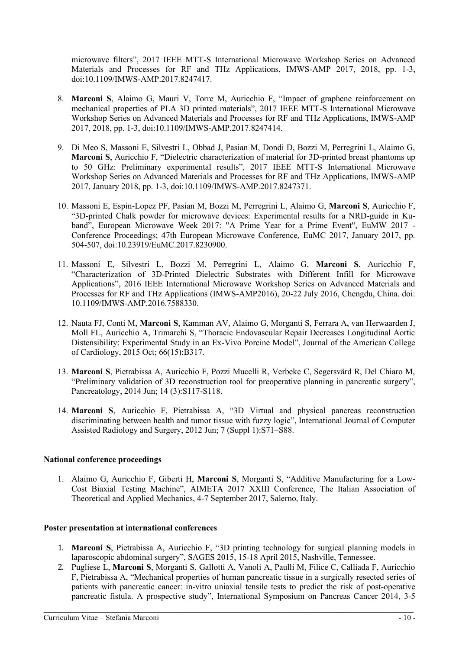microwave filters", 2017 IEEE MTT-S International Microwave Workshop Series on Advanced Materials and Processes for RF and THz Applications, IMWS-AMP 2017, 2018, pp. 1-3, doi:10.1109/IMWS-AMP.2017.8247417.

- 8. **Marconi S**, Alaimo G, Mauri V, Torre M, Auricchio F, "Impact of graphene reinforcement on mechanical properties of PLA 3D printed materials", 2017 IEEE MTT-S International Microwave Workshop Series on Advanced Materials and Processes for RF and THz Applications, IMWS-AMP 2017, 2018, pp. 1-3, doi:10.1109/IMWS-AMP.2017.8247414.
- 9. Di Meo S, Massoni E, Silvestri L, Obbad J, Pasian M, Dondi D, Bozzi M, Perregrini L, Alaimo G, **Marconi S**, Auricchio F, "Dielectric characterization of material for 3D-printed breast phantoms up to 50 GHz: Preliminary experimental results", 2017 IEEE MTT-S International Microwave Workshop Series on Advanced Materials and Processes for RF and THz Applications, IMWS-AMP 2017, January 2018, pp. 1-3, doi:10.1109/IMWS-AMP.2017.8247371.
- 10. Massoni E, Espin-Lopez PF, Pasian M, Bozzi M, Perregrini L, Alaimo G, **Marconi S**, Auricchio F, "3D-printed Chalk powder for microwave devices: Experimental results for a NRD-guide in Kuband", European Microwave Week 2017: "A Prime Year for a Prime Event", EuMW 2017 - Conference Proceedings; 47th European Microwave Conference, EuMC 2017, January 2017, pp. 504-507, doi:10.23919/EuMC.2017.8230900.
- 11. Massoni E, Silvestri L, Bozzi M, Perregrini L, Alaimo G, **Marconi S**, Auricchio F, "Characterization of 3D-Printed Dielectric Substrates with Different Infill for Microwave Applications", 2016 IEEE International Microwave Workshop Series on Advanced Materials and Processes for RF and THz Applications (IMWS-AMP2016), 20-22 July 2016, Chengdu, China. doi: 10.1109/IMWS-AMP.2016.7588330.
- 12. Nauta FJ, Conti M, **Marconi S**, Kamman AV, Alaimo G, Morganti S, Ferrara A, van Herwaarden J, Moll FL, Auricchio A, Trimarchi S, "Thoracic Endovascular Repair Decreases Longitudinal Aortic Distensibility: Experimental Study in an Ex-Vivo Porcine Model", Journal of the American College of Cardiology, 2015 Oct; 66(15):B317.
- 13. **Marconi S**, Pietrabissa A, Auricchio F, Pozzi Mucelli R, Verbeke C, Segersvärd R, Del Chiaro M, "Preliminary validation of 3D reconstruction tool for preoperative planning in pancreatic surgery", Pancreatology, 2014 Jun; 14 (3):S117-S118.
- 14. **Marconi S**, Auricchio F, Pietrabissa A, "3D Virtual and physical pancreas reconstruction discriminating between health and tumor tissue with fuzzy logic", International Journal of Computer Assisted Radiology and Surgery, 2012 Jun; 7 (Suppl 1):S71–S88.

# **National conference proceedings**

1. Alaimo G, Auricchio F, Giberti H, **Marconi S**, Morganti S, "Additive Manufacturing for a Low-Cost Biaxial Testing Machine", AIMETA 2017 XXIII Conference, The Italian Association of Theoretical and Applied Mechanics, 4-7 September 2017, Salerno, Italy.

# **Poster presentation at international conferences**

- 1. **Marconi S**, Pietrabissa A, Auricchio F, "3D printing technology for surgical planning models in laparoscopic abdominal surgery", SAGES 2015, 15-18 April 2015, Nashville, Tennessee.
- 2. Pugliese L, **Marconi S**, Morganti S, Gallotti A, Vanoli A, Paulli M, Filice C, Calliada F, Auricchio F, Pietrabissa A, "Mechanical properties of human pancreatic tissue in a surgically resected series of patients with pancreatic cancer: in-vitro uniaxial tensile tests to predict the risk of post-operative pancreatic fistula. A prospective study", International Symposium on Pancreas Cancer 2014, 3-5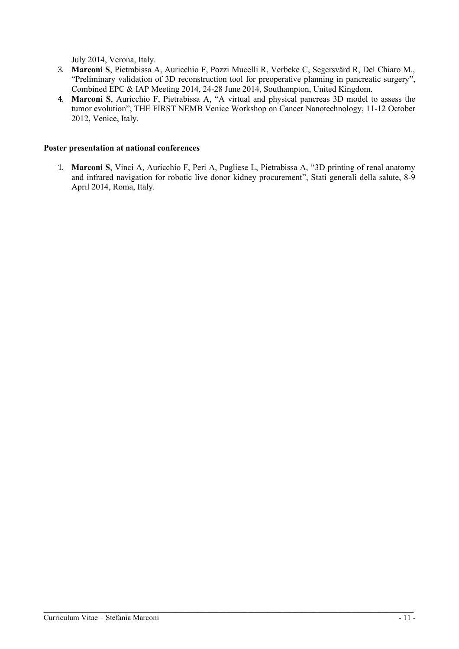July 2014, Verona, Italy.

- 3. **Marconi S**, Pietrabissa A, Auricchio F, Pozzi Mucelli R, Verbeke C, Segersvärd R, Del Chiaro M., "Preliminary validation of 3D reconstruction tool for preoperative planning in pancreatic surgery", Combined EPC & IAP Meeting 2014, 24-28 June 2014, Southampton, United Kingdom.
- 4. **Marconi S**, Auricchio F, Pietrabissa A, "A virtual and physical pancreas 3D model to assess the tumor evolution", THE FIRST NEMB Venice Workshop on Cancer Nanotechnology, 11-12 October 2012, Venice, Italy.

#### **Poster presentation at national conferences**

1. **Marconi S**, Vinci A, Auricchio F, Peri A, Pugliese L, Pietrabissa A, "3D printing of renal anatomy and infrared navigation for robotic live donor kidney procurement", Stati generali della salute, 8-9 April 2014, Roma, Italy.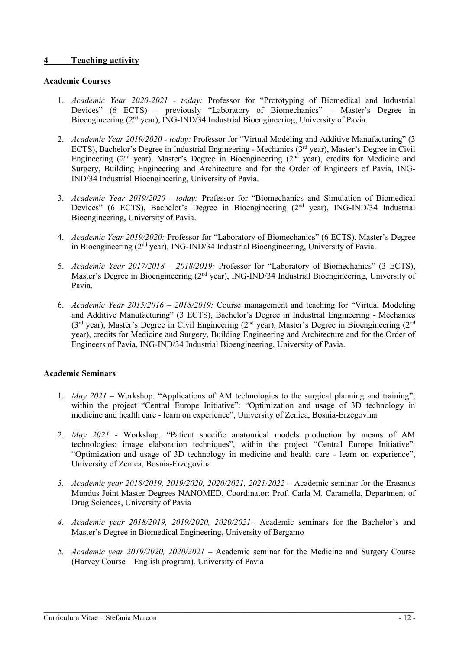# **4 Teaching activity**

#### **Academic Courses**

- 1. *Academic Year 2020-2021 - today:* Professor for "Prototyping of Biomedical and Industrial Devices" (6 ECTS) – previously "Laboratory of Biomechanics" – Master's Degree in Bioengineering (2<sup>nd</sup> year), ING-IND/34 Industrial Bioengineering, University of Pavia.
- 2. *Academic Year 2019/2020 - today:* Professor for "Virtual Modeling and Additive Manufacturing" (3 ECTS), Bachelor's Degree in Industrial Engineering - Mechanics (3<sup>rd</sup> year), Master's Degree in Civil Engineering ( $2<sup>nd</sup>$  year), Master's Degree in Bioengineering ( $2<sup>nd</sup>$  year), credits for Medicine and Surgery, Building Engineering and Architecture and for the Order of Engineers of Pavia, ING-IND/34 Industrial Bioengineering, University of Pavia.
- 3. *Academic Year 2019/2020 - today:* Professor for "Biomechanics and Simulation of Biomedical Devices" (6 ECTS), Bachelor's Degree in Bioengineering (2<sup>nd</sup> year), ING-IND/34 Industrial Bioengineering, University of Pavia.
- 4. *Academic Year 2019/2020:* Professor for "Laboratory of Biomechanics" (6 ECTS), Master's Degree in Bioengineering (2<sup>nd</sup> year), ING-IND/34 Industrial Bioengineering, University of Pavia.
- 5. *Academic Year 2017/2018 – 2018/2019:* Professor for "Laboratory of Biomechanics" (3 ECTS), Master's Degree in Bioengineering (2<sup>nd</sup> year), ING-IND/34 Industrial Bioengineering, University of Pavia.
- 6. *Academic Year 2015/2016 – 2018/2019:* Course management and teaching for "Virtual Modeling and Additive Manufacturing" (3 ECTS), Bachelor's Degree in Industrial Engineering - Mechanics (3<sup>rd</sup> year), Master's Degree in Civil Engineering (2<sup>nd</sup> year), Master's Degree in Bioengineering (2<sup>nd</sup> year), credits for Medicine and Surgery, Building Engineering and Architecture and for the Order of Engineers of Pavia, ING-IND/34 Industrial Bioengineering, University of Pavia.

# **Academic Seminars**

- 1. *May 2021 –* Workshop: "Applications of AM technologies to the surgical planning and training", within the project "Central Europe Initiative": "Optimization and usage of 3D technology in medicine and health care - learn on experience", University of Zenica, Bosnia-Erzegovina
- 2. *May 2021 -* Workshop: "Patient specific anatomical models production by means of AM technologies: image elaboration techniques", within the project "Central Europe Initiative": "Optimization and usage of 3D technology in medicine and health care - learn on experience", University of Zenica, Bosnia-Erzegovina
- *3. Academic year 2018/2019, 2019/2020, 2020/2021, 2021/2022 –* Academic seminar for the Erasmus Mundus Joint Master Degrees NANOMED, Coordinator: Prof. Carla M. Caramella, Department of Drug Sciences, University of Pavia
- *4. Academic year 2018/2019, 2019/2020, 2020/2021–* Academic seminars for the Bachelor's and Master's Degree in Biomedical Engineering, University of Bergamo
- *5. Academic year 2019/2020, 2020/2021 –* Academic seminar for the Medicine and Surgery Course (Harvey Course – English program), University of Pavia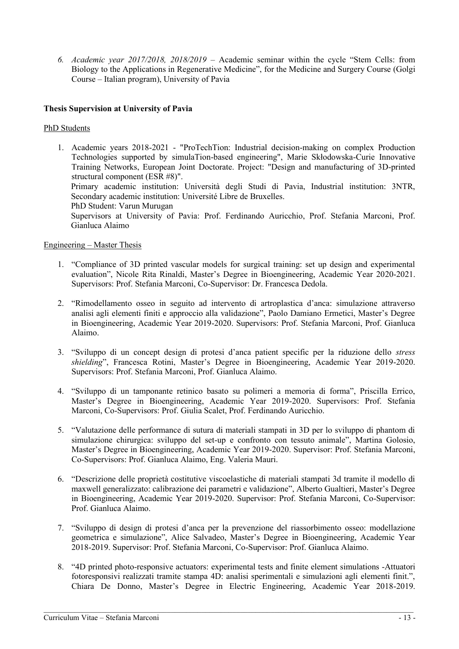*6. Academic year 2017/2018, 2018/2019 –* Academic seminar within the cycle "Stem Cells: from Biology to the Applications in Regenerative Medicine", for the Medicine and Surgery Course (Golgi Course – Italian program), University of Pavia

# **Thesis Supervision at University of Pavia**

#### PhD Students

1. Academic years 2018-2021 - "ProTechTion: Industrial decision-making on complex Production Technologies supported by simulaTion-based engineering", Marie Skłodowska-Curie Innovative Training Networks, European Joint Doctorate. Project: "Design and manufacturing of 3D-printed structural component (ESR #8)". Primary academic institution: Università degli Studi di Pavia, Industrial institution: 3NTR, Secondary academic institution: Université Libre de Bruxelles. PhD Student: Varun Murugan

Supervisors at University of Pavia: Prof. Ferdinando Auricchio, Prof. Stefania Marconi, Prof. Gianluca Alaimo

#### Engineering – Master Thesis

- 1. "Compliance of 3D printed vascular models for surgical training: set up design and experimental evaluation", Nicole Rita Rinaldi, Master's Degree in Bioengineering, Academic Year 2020-2021. Supervisors: Prof. Stefania Marconi, Co-Supervisor: Dr. Francesca Dedola.
- 2. "Rimodellamento osseo in seguito ad intervento di artroplastica d'anca: simulazione attraverso analisi agli elementi finiti e approccio alla validazione", Paolo Damiano Ermetici, Master's Degree in Bioengineering, Academic Year 2019-2020. Supervisors: Prof. Stefania Marconi, Prof. Gianluca Alaimo.
- 3. "Sviluppo di un concept design di protesi d'anca patient specific per la riduzione dello *stress shielding*", Francesca Rotini, Master's Degree in Bioengineering, Academic Year 2019-2020. Supervisors: Prof. Stefania Marconi, Prof. Gianluca Alaimo.
- 4. "Sviluppo di un tamponante retinico basato su polimeri a memoria di forma", Priscilla Errico, Master's Degree in Bioengineering, Academic Year 2019-2020. Supervisors: Prof. Stefania Marconi, Co-Supervisors: Prof. Giulia Scalet, Prof. Ferdinando Auricchio.
- 5. "Valutazione delle performance di sutura di materiali stampati in 3D per lo sviluppo di phantom di simulazione chirurgica: sviluppo del set-up e confronto con tessuto animale", Martina Golosio, Master's Degree in Bioengineering, Academic Year 2019-2020. Supervisor: Prof. Stefania Marconi, Co-Supervisors: Prof. Gianluca Alaimo, Eng. Valeria Mauri.
- 6. "Descrizione delle proprietà costitutive viscoelastiche di materiali stampati 3d tramite il modello di maxwell generalizzato: calibrazione dei parametri e validazione", Alberto Gualtieri, Master's Degree in Bioengineering, Academic Year 2019-2020. Supervisor: Prof. Stefania Marconi, Co-Supervisor: Prof. Gianluca Alaimo.
- 7. "Sviluppo di design di protesi d'anca per la prevenzione del riassorbimento osseo: modellazione geometrica e simulazione", Alice Salvadeo, Master's Degree in Bioengineering, Academic Year 2018-2019. Supervisor: Prof. Stefania Marconi, Co-Supervisor: Prof. Gianluca Alaimo.
- 8. "4D printed photo-responsive actuators: experimental tests and finite element simulations -Attuatori fotoresponsivi realizzati tramite stampa 4D: analisi sperimentali e simulazioni agli elementi finit.", Chiara De Donno, Master's Degree in Electric Engineering, Academic Year 2018-2019.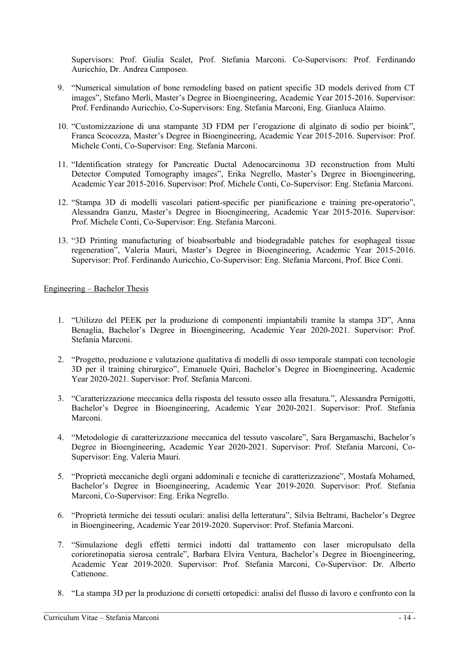Supervisors: Prof. Giulia Scalet, Prof. Stefania Marconi. Co-Supervisors: Prof. Ferdinando Auricchio, Dr. Andrea Camposeo.

- 9. "Numerical simulation of bone remodeling based on patient specific 3D models derived from CT images", Stefano Merli, Master's Degree in Bioengineering, Academic Year 2015-2016. Supervisor: Prof. Ferdinando Auricchio, Co-Supervisors: Eng. Stefania Marconi, Eng. Gianluca Alaimo.
- 10. "Customizzazione di una stampante 3D FDM per l'erogazione di alginato di sodio per bioink", Franca Scocozza, Master's Degree in Bioengineering, Academic Year 2015-2016. Supervisor: Prof. Michele Conti, Co-Supervisor: Eng. Stefania Marconi.
- 11. "Identification strategy for Pancreatic Ductal Adenocarcinoma 3D reconstruction from Multi Detector Computed Tomography images", Erika Negrello, Master's Degree in Bioengineering, Academic Year 2015-2016. Supervisor: Prof. Michele Conti, Co-Supervisor: Eng. Stefania Marconi.
- 12. "Stampa 3D di modelli vascolari patient-specific per pianificazione e training pre-operatorio", Alessandra Ganzu, Master's Degree in Bioengineering, Academic Year 2015-2016. Supervisor: Prof. Michele Conti, Co-Supervisor: Eng. Stefania Marconi.
- 13. "3D Printing manufacturing of bioabsorbable and biodegradable patches for esophageal tissue regeneration", Valeria Mauri, Master's Degree in Bioengineering, Academic Year 2015-2016. Supervisor: Prof. Ferdinando Auricchio, Co-Supervisor: Eng. Stefania Marconi, Prof. Bice Conti.

#### Engineering – Bachelor Thesis

- 1. "Utilizzo del PEEK per la produzione di componenti impiantabili tramite la stampa 3D", Anna Benaglia, Bachelor's Degree in Bioengineering, Academic Year 2020-2021. Supervisor: Prof. Stefania Marconi.
- 2. "Progetto, produzione e valutazione qualitativa di modelli di osso temporale stampati con tecnologie 3D per il training chirurgico", Emanuele Quiri, Bachelor's Degree in Bioengineering, Academic Year 2020-2021. Supervisor: Prof. Stefania Marconi.
- 3. "Caratterizzazione meccanica della risposta del tessuto osseo alla fresatura.", Alessandra Pernigotti, Bachelor's Degree in Bioengineering, Academic Year 2020-2021. Supervisor: Prof. Stefania Marconi.
- 4. "Metodologie di caratterizzazione meccanica del tessuto vascolare", Sara Bergamaschi, Bachelor's Degree in Bioengineering, Academic Year 2020-2021. Supervisor: Prof. Stefania Marconi, Co-Supervisor: Eng. Valeria Mauri.
- 5. "Proprietà meccaniche degli organi addominali e tecniche di caratterizzazione", Mostafa Mohamed, Bachelor's Degree in Bioengineering, Academic Year 2019-2020. Supervisor: Prof. Stefania Marconi, Co-Supervisor: Eng. Erika Negrello.
- 6. "Proprietà termiche dei tessuti oculari: analisi della letteratura", Silvia Beltrami, Bachelor's Degree in Bioengineering, Academic Year 2019-2020. Supervisor: Prof. Stefania Marconi.
- 7. "Simulazione degli effetti termici indotti dal trattamento con laser micropulsato della corioretinopatia sierosa centrale", Barbara Elvira Ventura, Bachelor's Degree in Bioengineering, Academic Year 2019-2020. Supervisor: Prof. Stefania Marconi, Co-Supervisor: Dr. Alberto Cattenone.
- 8. "La stampa 3D per la produzione di corsetti ortopedici: analisi del flusso di lavoro e confronto con la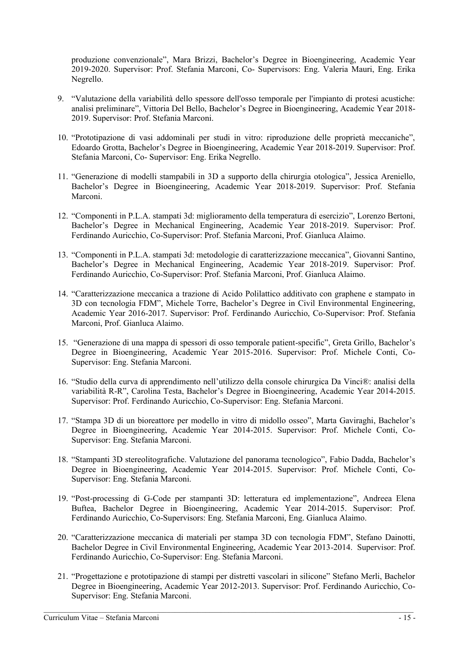produzione convenzionale", Mara Brizzi, Bachelor's Degree in Bioengineering, Academic Year 2019-2020. Supervisor: Prof. Stefania Marconi, Co- Supervisors: Eng. Valeria Mauri, Eng. Erika Negrello.

- 9. "Valutazione della variabilità dello spessore dell'osso temporale per l'impianto di protesi acustiche: analisi preliminare", Vittoria Del Bello, Bachelor's Degree in Bioengineering, Academic Year 2018- 2019. Supervisor: Prof. Stefania Marconi.
- 10. "Prototipazione di vasi addominali per studi in vitro: riproduzione delle proprietà meccaniche", Edoardo Grotta, Bachelor's Degree in Bioengineering, Academic Year 2018-2019. Supervisor: Prof. Stefania Marconi, Co- Supervisor: Eng. Erika Negrello.
- 11. "Generazione di modelli stampabili in 3D a supporto della chirurgia otologica", Jessica Areniello, Bachelor's Degree in Bioengineering, Academic Year 2018-2019. Supervisor: Prof. Stefania Marconi.
- 12. "Componenti in P.L.A. stampati 3d: miglioramento della temperatura di esercizio", Lorenzo Bertoni, Bachelor's Degree in Mechanical Engineering, Academic Year 2018-2019. Supervisor: Prof. Ferdinando Auricchio, Co-Supervisor: Prof. Stefania Marconi, Prof. Gianluca Alaimo.
- 13. "Componenti in P.L.A. stampati 3d: metodologie di caratterizzazione meccanica", Giovanni Santino, Bachelor's Degree in Mechanical Engineering, Academic Year 2018-2019. Supervisor: Prof. Ferdinando Auricchio, Co-Supervisor: Prof. Stefania Marconi, Prof. Gianluca Alaimo.
- 14. "Caratterizzazione meccanica a trazione di Acido Polilattico additivato con graphene e stampato in 3D con tecnologia FDM", Michele Torre, Bachelor's Degree in Civil Environmental Engineering, Academic Year 2016-2017. Supervisor: Prof. Ferdinando Auricchio, Co-Supervisor: Prof. Stefania Marconi, Prof. Gianluca Alaimo.
- 15. "Generazione di una mappa di spessori di osso temporale patient-specific", Greta Grillo, Bachelor's Degree in Bioengineering, Academic Year 2015-2016. Supervisor: Prof. Michele Conti, Co-Supervisor: Eng. Stefania Marconi.
- 16. "Studio della curva di apprendimento nell'utilizzo della console chirurgica Da Vinci®: analisi della variabilità R-R", Carolina Testa, Bachelor's Degree in Bioengineering, Academic Year 2014-2015. Supervisor: Prof. Ferdinando Auricchio, Co-Supervisor: Eng. Stefania Marconi.
- 17. "Stampa 3D di un bioreattore per modello in vitro di midollo osseo", Marta Gaviraghi, Bachelor's Degree in Bioengineering, Academic Year 2014-2015. Supervisor: Prof. Michele Conti, Co-Supervisor: Eng. Stefania Marconi.
- 18. "Stampanti 3D stereolitografiche. Valutazione del panorama tecnologico", Fabio Dadda, Bachelor's Degree in Bioengineering, Academic Year 2014-2015. Supervisor: Prof. Michele Conti, Co-Supervisor: Eng. Stefania Marconi.
- 19. "Post-processing di G-Code per stampanti 3D: letteratura ed implementazione", Andreea Elena Buftea, Bachelor Degree in Bioengineering, Academic Year 2014-2015. Supervisor: Prof. Ferdinando Auricchio, Co-Supervisors: Eng. Stefania Marconi, Eng. Gianluca Alaimo.
- 20. "Caratterizzazione meccanica di materiali per stampa 3D con tecnologia FDM", Stefano Dainotti, Bachelor Degree in Civil Environmental Engineering, Academic Year 2013-2014. Supervisor: Prof. Ferdinando Auricchio, Co-Supervisor: Eng. Stefania Marconi.
- 21. "Progettazione e prototipazione di stampi per distretti vascolari in silicone" Stefano Merli, Bachelor Degree in Bioengineering, Academic Year 2012-2013. Supervisor: Prof. Ferdinando Auricchio, Co-Supervisor: Eng. Stefania Marconi.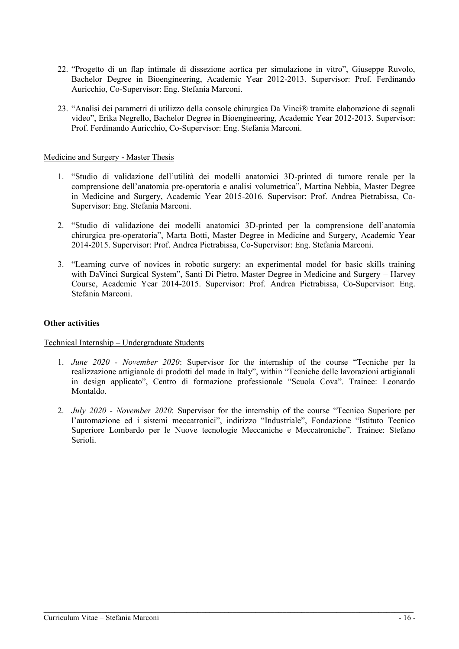- 22. "Progetto di un flap intimale di dissezione aortica per simulazione in vitro", Giuseppe Ruvolo, Bachelor Degree in Bioengineering, Academic Year 2012-2013. Supervisor: Prof. Ferdinando Auricchio, Co-Supervisor: Eng. Stefania Marconi.
- 23. "Analisi dei parametri di utilizzo della console chirurgica Da Vinci® tramite elaborazione di segnali video", Erika Negrello, Bachelor Degree in Bioengineering, Academic Year 2012-2013. Supervisor: Prof. Ferdinando Auricchio, Co-Supervisor: Eng. Stefania Marconi.

#### Medicine and Surgery - Master Thesis

- 1. "Studio di validazione dell'utilità dei modelli anatomici 3D-printed di tumore renale per la comprensione dell'anatomia pre-operatoria e analisi volumetrica", Martina Nebbia, Master Degree in Medicine and Surgery, Academic Year 2015-2016. Supervisor: Prof. Andrea Pietrabissa, Co-Supervisor: Eng. Stefania Marconi.
- 2. "Studio di validazione dei modelli anatomici 3D-printed per la comprensione dell'anatomia chirurgica pre-operatoria", Marta Botti, Master Degree in Medicine and Surgery, Academic Year 2014-2015. Supervisor: Prof. Andrea Pietrabissa, Co-Supervisor: Eng. Stefania Marconi.
- 3. "Learning curve of novices in robotic surgery: an experimental model for basic skills training with DaVinci Surgical System", Santi Di Pietro, Master Degree in Medicine and Surgery – Harvey Course, Academic Year 2014-2015. Supervisor: Prof. Andrea Pietrabissa, Co-Supervisor: Eng. Stefania Marconi.

#### **Other activities**

# Technical Internship – Undergraduate Students

- 1. *June 2020 - November 2020*: Supervisor for the internship of the course "Tecniche per la realizzazione artigianale di prodotti del made in Italy", within "Tecniche delle lavorazioni artigianali in design applicato", Centro di formazione professionale "Scuola Cova". Trainee: Leonardo Montaldo.
- 2. *July 2020 - November 2020*: Supervisor for the internship of the course "Tecnico Superiore per l'automazione ed i sistemi meccatronici", indirizzo "Industriale", Fondazione "Istituto Tecnico Superiore Lombardo per le Nuove tecnologie Meccaniche e Meccatroniche". Trainee: Stefano Serioli.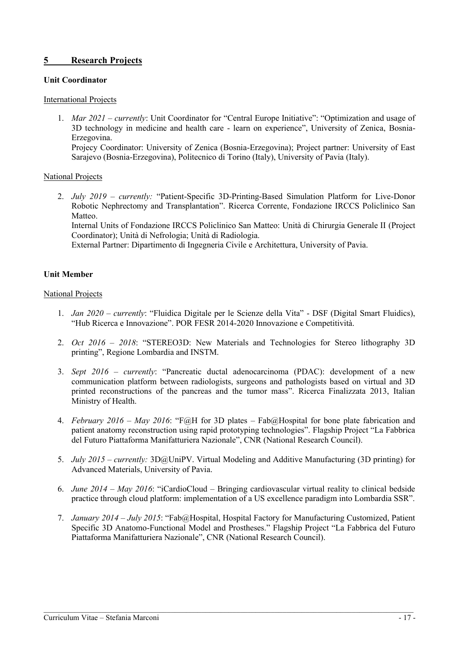# **5 Research Projects**

#### **Unit Coordinator**

#### International Projects

1. *Mar 2021 – currently*: Unit Coordinator for "Central Europe Initiative": "Optimization and usage of 3D technology in medicine and health care - learn on experience", University of Zenica, Bosnia-Erzegovina.

Projecy Coordinator: University of Zenica (Bosnia-Erzegovina); Project partner: University of East Sarajevo (Bosnia-Erzegovina), Politecnico di Torino (Italy), University of Pavia (Italy).

#### National Projects

2. *July 2019 – currently:* "Patient-Specific 3D-Printing-Based Simulation Platform for Live-Donor Robotic Nephrectomy and Transplantation". Ricerca Corrente, Fondazione IRCCS Policlinico San Matteo.

Internal Units of Fondazione IRCCS Policlinico San Matteo: Unità di Chirurgia Generale II (Project Coordinator); Unità di Nefrologia; Unità di Radiologia.

External Partner: Dipartimento di Ingegneria Civile e Architettura, University of Pavia.

# **Unit Member**

#### National Projects

- 1. *Jan 2020 – currently*: "Fluidica Digitale per le Scienze della Vita" DSF (Digital Smart Fluidics), "Hub Ricerca e Innovazione". POR FESR 2014-2020 Innovazione e Competitività.
- 2. *Oct 2016 – 2018*: "STEREO3D: New Materials and Technologies for Stereo lithography 3D printing", Regione Lombardia and INSTM.
- 3. *Sept 2016 – currently*: "Pancreatic ductal adenocarcinoma (PDAC): development of a new communication platform between radiologists, surgeons and pathologists based on virtual and 3D printed reconstructions of the pancreas and the tumor mass". Ricerca Finalizzata 2013, Italian Ministry of Health.
- 4. *February 2016 – May 2016*: "F@H for 3D plates Fab@Hospital for bone plate fabrication and patient anatomy reconstruction using rapid prototyping technologies". Flagship Project "La Fabbrica del Futuro Piattaforma Manifatturiera Nazionale", CNR (National Research Council).
- 5. *July 2015 – currently:* 3D@UniPV. Virtual Modeling and Additive Manufacturing (3D printing) for Advanced Materials, University of Pavia.
- 6. *June 2014 – May 2016*: "iCardioCloud Bringing cardiovascular virtual reality to clinical bedside practice through cloud platform: implementation of a US excellence paradigm into Lombardia SSR".
- 7. *January 2014 – July 2015*: "Fab@Hospital, Hospital Factory for Manufacturing Customized, Patient Specific 3D Anatomo-Functional Model and Prostheses." Flagship Project "La Fabbrica del Futuro Piattaforma Manifatturiera Nazionale", CNR (National Research Council).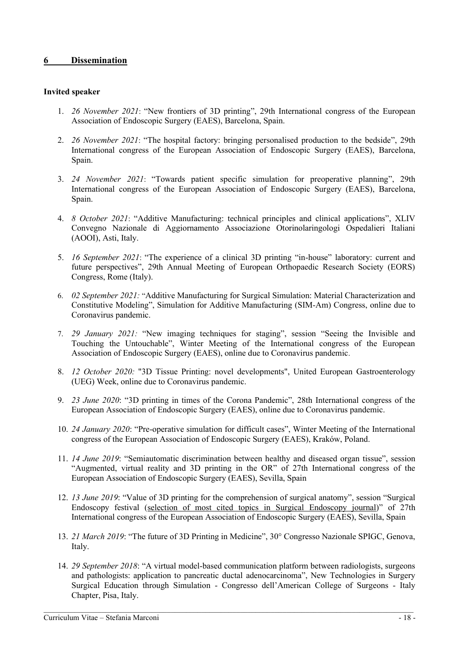# **6 Dissemination**

#### **Invited speaker**

- 1. *26 November 2021*: "New frontiers of 3D printing", 29th International congress of the European Association of Endoscopic Surgery (EAES), Barcelona, Spain.
- 2. *26 November 2021*: "The hospital factory: bringing personalised production to the bedside", 29th International congress of the European Association of Endoscopic Surgery (EAES), Barcelona, Spain.
- 3. *24 November 2021*: "Towards patient specific simulation for preoperative planning", 29th International congress of the European Association of Endoscopic Surgery (EAES), Barcelona, Spain.
- 4. *8 October 2021*: "Additive Manufacturing: technical principles and clinical applications", XLIV Convegno Nazionale di Aggiornamento Associazione Otorinolaringologi Ospedalieri Italiani (AOOI), Asti, Italy.
- 5. *16 September 2021*: "The experience of a clinical 3D printing "in-house" laboratory: current and future perspectives", 29th Annual Meeting of European Orthopaedic Research Society (EORS) Congress, Rome (Italy).
- 6. *02 September 2021:* "Additive Manufacturing for Surgical Simulation: Material Characterization and Constitutive Modeling", Simulation for Additive Manufacturing (SIM-Am) Congress, online due to Coronavirus pandemic.
- 7. *29 January 2021:* "New imaging techniques for staging", session "Seeing the Invisible and Touching the Untouchable", Winter Meeting of the International congress of the European Association of Endoscopic Surgery (EAES), online due to Coronavirus pandemic.
- 8. *12 October 2020:* "3D Tissue Printing: novel developments", United European Gastroenterology (UEG) Week, online due to Coronavirus pandemic.
- 9. *23 June 2020*: "3D printing in times of the Corona Pandemic", 28th International congress of the European Association of Endoscopic Surgery (EAES), online due to Coronavirus pandemic.
- 10. *24 January 2020*: "Pre-operative simulation for difficult cases", Winter Meeting of the International congress of the European Association of Endoscopic Surgery (EAES), Kraków, Poland.
- 11. *14 June 2019*: "Semiautomatic discrimination between healthy and diseased organ tissue", session "Augmented, virtual reality and 3D printing in the OR" of 27th International congress of the European Association of Endoscopic Surgery (EAES), Sevilla, Spain
- 12. *13 June 2019*: "Value of 3D printing for the comprehension of surgical anatomy", session "Surgical Endoscopy festival (selection of most cited topics in Surgical Endoscopy journal)" of 27th International congress of the European Association of Endoscopic Surgery (EAES), Sevilla, Spain
- 13. *21 March 2019*: "The future of 3D Printing in Medicine", 30° Congresso Nazionale SPIGC, Genova, Italy.
- 14. *29 September 2018*: "A virtual model-based communication platform between radiologists, surgeons and pathologists: application to pancreatic ductal adenocarcinoma", New Technologies in Surgery Surgical Education through Simulation - Congresso dell'American College of Surgeons - Italy Chapter, Pisa, Italy.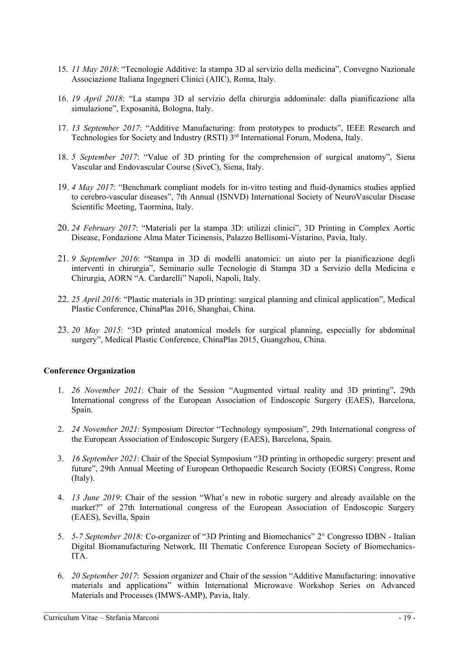- 15. *11 May 2018*: "Tecnologie Additive: la stampa 3D al servizio della medicina", Convegno Nazionale Associazione Italiana Ingegneri Clinici (AIIC), Roma, Italy.
- 16. *19 April 2018*: "La stampa 3D al servizio della chirurgia addominale: dalla pianificazione alla simulazione", Exposanità, Bologna, Italy.
- 17. *13 September 2017*: "Additive Manufacturing: from prototypes to products", IEEE Research and Technologies for Society and Industry (RSTI) 3<sup>rd</sup> International Forum, Modena, Italy.
- 18. *5 September 2017*: "Value of 3D printing for the comprehension of surgical anatomy", Siena Vascular and Endovascular Course (SiveC), Siena, Italy.
- 19. *4 May 2017*: "Benchmark compliant models for in-vitro testing and fluid-dynamics studies applied to cerebro-vascular diseases", 7th Annual (ISNVD) International Society of NeuroVascular Disease Scientific Meeting, Taormina, Italy.
- 20. *24 February 2017*: "Materiali per la stampa 3D: utilizzi clinici", 3D Printing in Complex Aortic Disease, Fondazione Alma Mater Ticinensis, Palazzo Bellisomi-Vistarino, Pavia, Italy.
- 21. *9 September 2016*: "Stampa in 3D di modelli anatomici: un aiuto per la pianificazione degli interventi in chirurgia", Seminario sulle Tecnologie di Stampa 3D a Servizio della Medicina e Chirurgia, AORN "A. Cardarelli" Napoli, Napoli, Italy.
- 22. *25 April 2016*: "Plastic materials in 3D printing: surgical planning and clinical application", Medical Plastic Conference, ChinaPlas 2016, Shanghai, China.
- 23. *20 May 2015*: "3D printed anatomical models for surgical planning, especially for abdominal surgery", Medical Plastic Conference, ChinaPlas 2015, Guangzhou, China.

# **Conference Organization**

- 1. *26 November 2021*: Chair of the Session "Augmented virtual reality and 3D printing", 29th International congress of the European Association of Endoscopic Surgery (EAES), Barcelona, Spain.
- 2. *24 November 2021*: Symposium Director "Technology symposium", 29th International congress of the European Association of Endoscopic Surgery (EAES), Barcelona, Spain.
- 3. *16 September 2021*: Chair of the Special Symposium "3D printing in orthopedic surgery: present and future", 29th Annual Meeting of European Orthopaedic Research Society (EORS) Congress, Rome (Italy).
- 4. *13 June 2019*: Chair of the session "What's new in robotic surgery and already available on the market?" of 27th International congress of the European Association of Endoscopic Surgery (EAES), Sevilla, Spain
- 5. *5-7 September 2018:* Co-organizer of "3D Printing and Biomechanics" 2° Congresso IDBN Italian Digital Biomanufacturing Network, III Thematic Conference European Society of Biomechanics-ITA.
- 6. *20 September 2017*: Session organizer and Chair of the session "Additive Manufacturing: innovative materials and applications" within International Microwave Workshop Series on Advanced Materials and Processes (IMWS-AMP), Pavia, Italy.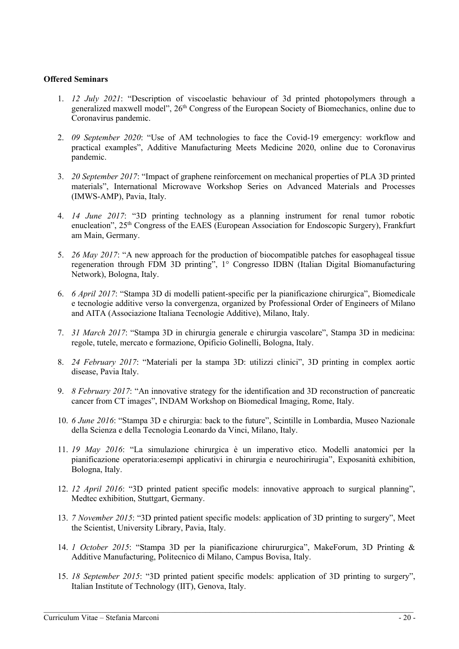#### **Offered Seminars**

- 1. *12 July 2021*: "Description of viscoelastic behaviour of 3d printed photopolymers through a generalized maxwell model", 26<sup>th</sup> Congress of the European Society of Biomechanics, online due to Coronavirus pandemic.
- 2. *09 September 2020*: "Use of AM technologies to face the Covid-19 emergency: workflow and practical examples", Additive Manufacturing Meets Medicine 2020, online due to Coronavirus pandemic.
- 3. *20 September 2017*: "Impact of graphene reinforcement on mechanical properties of PLA 3D printed materials", International Microwave Workshop Series on Advanced Materials and Processes (IMWS-AMP), Pavia, Italy.
- 4. *14 June 2017*: "3D printing technology as a planning instrument for renal tumor robotic enucleation", 25<sup>th</sup> Congress of the EAES (European Association for Endoscopic Surgery), Frankfurt am Main, Germany.
- 5. *26 May 2017*: "A new approach for the production of biocompatible patches for easophageal tissue regeneration through FDM 3D printing", 1° Congresso IDBN (Italian Digital Biomanufacturing Network), Bologna, Italy.
- 6. *6 April 2017*: "Stampa 3D di modelli patient-specific per la pianificazione chirurgica", Biomedicale e tecnologie additive verso la convergenza, organized by Professional Order of Engineers of Milano and AITA (Associazione Italiana Tecnologie Additive), Milano, Italy.
- 7. *31 March 2017*: "Stampa 3D in chirurgia generale e chirurgia vascolare", Stampa 3D in medicina: regole, tutele, mercato e formazione, Opificio Golinelli, Bologna, Italy.
- 8. *24 February 2017*: "Materiali per la stampa 3D: utilizzi clinici", 3D printing in complex aortic disease, Pavia Italy.
- 9. *8 February 2017*: "An innovative strategy for the identification and 3D reconstruction of pancreatic cancer from CT images", INDAM Workshop on Biomedical Imaging, Rome, Italy.
- 10. *6 June 2016*: "Stampa 3D e chirurgia: back to the future", Scintille in Lombardia, Museo Nazionale della Scienza e della Tecnologia Leonardo da Vinci, Milano, Italy.
- 11. *19 May 2016*: "La simulazione chirurgica è un imperativo etico. Modelli anatomici per la pianificazione operatoria:esempi applicativi in chirurgia e neurochirirugia", Exposanità exhibition, Bologna, Italy.
- 12. *12 April 2016*: "3D printed patient specific models: innovative approach to surgical planning", Medtec exhibition, Stuttgart, Germany.
- 13. *7 November 2015*: "3D printed patient specific models: application of 3D printing to surgery", Meet the Scientist, University Library, Pavia, Italy.
- 14. *1 October 2015*: "Stampa 3D per la pianificazione chirururgica", MakeForum, 3D Printing & Additive Manufacturing, Politecnico di Milano, Campus Bovisa, Italy.
- 15. *18 September 2015*: "3D printed patient specific models: application of 3D printing to surgery", Italian Institute of Technology (IIT), Genova, Italy.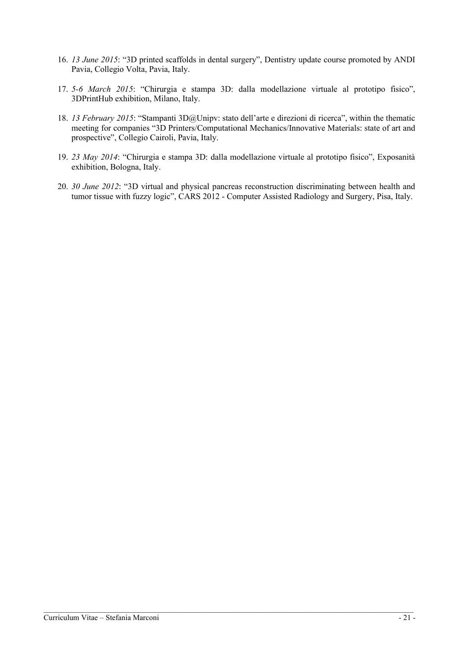- 16. *13 June 2015*: "3D printed scaffolds in dental surgery", Dentistry update course promoted by ANDI Pavia, Collegio Volta, Pavia, Italy.
- 17. *5-6 March 2015*: "Chirurgia e stampa 3D: dalla modellazione virtuale al prototipo fisico", 3DPrintHub exhibition, Milano, Italy.
- 18. *13 February 2015*: "Stampanti 3D@Unipv: stato dell'arte e direzioni di ricerca", within the thematic meeting for companies "3D Printers/Computational Mechanics/Innovative Materials: state of art and prospective", Collegio Cairoli, Pavia, Italy.
- 19. *23 May 2014*: "Chirurgia e stampa 3D: dalla modellazione virtuale al prototipo fisico", Exposanità exhibition, Bologna, Italy.
- 20. *30 June 2012*: "3D virtual and physical pancreas reconstruction discriminating between health and tumor tissue with fuzzy logic", CARS 2012 - Computer Assisted Radiology and Surgery, Pisa, Italy.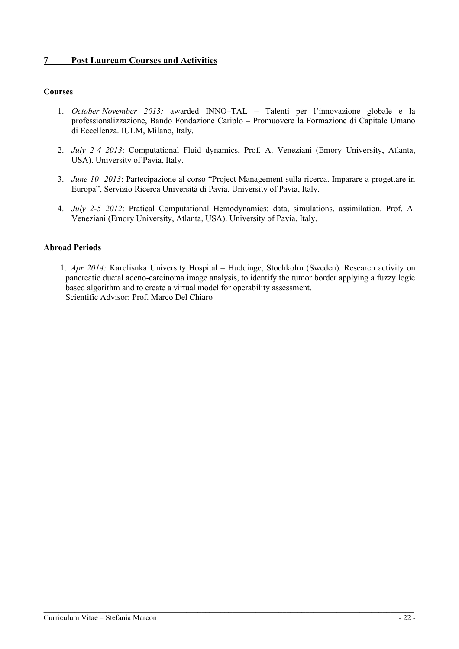# **7 Post Lauream Courses and Activities**

#### **Courses**

- 1. *October-November 2013:* awarded INNO–TAL Talenti per l'innovazione globale e la professionalizzazione, Bando Fondazione Cariplo – Promuovere la Formazione di Capitale Umano di Eccellenza. IULM, Milano, Italy.
- 2. *July 2-4 2013*: Computational Fluid dynamics, Prof. A. Veneziani (Emory University, Atlanta, USA). University of Pavia, Italy.
- 3. *June 10- 2013*: Partecipazione al corso "Project Management sulla ricerca. Imparare a progettare in Europa", Servizio Ricerca Università di Pavia. University of Pavia, Italy.
- 4. *July 2-5 2012*: Pratical Computational Hemodynamics: data, simulations, assimilation. Prof. A. Veneziani (Emory University, Atlanta, USA). University of Pavia, Italy.

#### **Abroad Periods**

1. *Apr 2014:* Karolisnka University Hospital – Huddinge, Stochkolm (Sweden). Research activity on pancreatic ductal adeno-carcinoma image analysis, to identify the tumor border applying a fuzzy logic based algorithm and to create a virtual model for operability assessment. Scientific Advisor: Prof. Marco Del Chiaro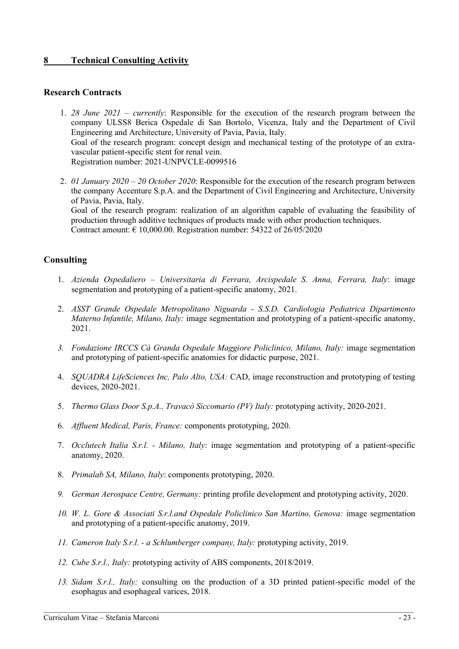# **8 Technical Consulting Activity**

## **Research Contracts**

- 1. *28 June 2021 – currently*: Responsible for the execution of the research program between the company ULSS8 Berica Ospedale di San Bortolo, Vicenza, Italy and the Department of Civil Engineering and Architecture, University of Pavia, Pavia, Italy. Goal of the research program: concept design and mechanical testing of the prototype of an extravascular patient-specific stent for renal vein. Registration number: 2021-UNPVCLE-0099516
- 2. *01 January 2020 – 20 October 2020*: Responsible for the execution of the research program between the company Accenture S.p.A. and the Department of Civil Engineering and Architecture, University of Pavia, Pavia, Italy. Goal of the research program: realization of an algorithm capable of evaluating the feasibility of production through additive techniques of products made with other production techniques. Contract amount:  $\epsilon$  10,000.00. Registration number: 54322 of 26/05/2020

# **Consulting**

- 1. *Azienda Ospedaliero – Universitaria di Ferrara, Arcispedale S. Anna, Ferrara, Italy*: image segmentation and prototyping of a patient-specific anatomy, 2021.
- 2. *ASST Grande Ospedale Metropolitano Niguarda - S.S.D. Cardiologia Pediatrica Dipartimento Materno Infantile, Milano, Italy:* image segmentation and prototyping of a patient-specific anatomy, 2021.
- *3. Fondazione IRCCS Cà Granda Ospedale Maggiore Policlinico, Milano, Italy:* image segmentation and prototyping of patient-specific anatomies for didactic purpose, 2021.
- 4. *SQUADRA LifeSciences Inc, Palo Alto, USA:* CAD, image reconstruction and prototyping of testing devices, 2020-2021.
- 5. *Thermo Glass Door S.p.A., Travacò Siccomario (PV) Italy:* prototyping activity, 2020-2021.
- 6. *Affluent Medical, Paris, France:* components prototyping, 2020.
- 7. *Occlutech Italia S.r.l. - Milano, Italy*: image segmentation and prototyping of a patient-specific anatomy, 2020.
- 8. *Primalab SA, Milano, Italy*: components prototyping, 2020.
- *9. German Aerospace Centre, Germany:* printing profile development and prototyping activity, 2020.
- *10. W. L. Gore & Associati S.r.l.and Ospedale Policlinico San Martino, Genova:* image segmentation and prototyping of a patient-specific anatomy, 2019.
- *11. Cameron Italy S.r.l. - a Schlumberger company, Italy:* prototyping activity, 2019.
- *12. Cube S.r.l., Italy:* prototyping activity of ABS components, 2018/2019.
- *13. Sidam S.r.l., Italy:* consulting on the production of a 3D printed patient-specific model of the esophagus and esophageal varices, 2018.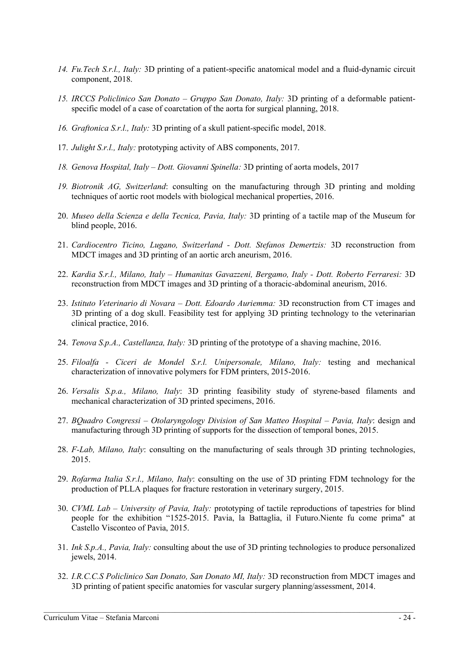- *14. Fu.Tech S.r.l., Italy:* 3D printing of a patient-specific anatomical model and a fluid-dynamic circuit component, 2018.
- *15. IRCCS Policlinico San Donato – Gruppo San Donato, Italy:* 3D printing of a deformable patientspecific model of a case of coarctation of the aorta for surgical planning, 2018.
- *16. Graftonica S.r.l., Italy:* 3D printing of a skull patient-specific model, 2018.
- 17. *Julight S.r.l., Italy:* prototyping activity of ABS components, 2017.
- *18. Genova Hospital, Italy – Dott. Giovanni Spinella:* 3D printing of aorta models, 2017
- *19. Biotronik AG, Switzerland*: consulting on the manufacturing through 3D printing and molding techniques of aortic root models with biological mechanical properties, 2016.
- 20. *Museo della Scienza e della Tecnica, Pavia, Italy:* 3D printing of a tactile map of the Museum for blind people, 2016.
- 21. *Cardiocentro Ticino, Lugano, Switzerland - Dott. Stefanos Demertzis:* 3D reconstruction from MDCT images and 3D printing of an aortic arch aneurism, 2016.
- 22. *Kardia S.r.l., Milano, Italy – Humanitas Gavazzeni, Bergamo, Italy - Dott. Roberto Ferraresi:* 3D reconstruction from MDCT images and 3D printing of a thoracic-abdominal aneurism, 2016.
- 23. *Istituto Veterinario di Novara – Dott. Edoardo Auriemma:* 3D reconstruction from CT images and 3D printing of a dog skull. Feasibility test for applying 3D printing technology to the veterinarian clinical practice, 2016.
- 24. *Tenova S.p.A., Castellanza, Italy:* 3D printing of the prototype of a shaving machine, 2016.
- 25. *Filoalfa - Ciceri de Mondel S.r.l. Unipersonale, Milano, Italy:* testing and mechanical characterization of innovative polymers for FDM printers, 2015-2016.
- 26. *Versalis S.p.a., Milano, Italy*: 3D printing feasibility study of styrene-based filaments and mechanical characterization of 3D printed specimens, 2016.
- 27. *BQuadro Congressi – Otolaryngology Division of San Matteo Hospital – Pavia, Italy*: design and manufacturing through 3D printing of supports for the dissection of temporal bones, 2015.
- 28. *F-Lab, Milano, Italy*: consulting on the manufacturing of seals through 3D printing technologies, 2015.
- 29. *Rofarma Italia S.r.l., Milano, Italy*: consulting on the use of 3D printing FDM technology for the production of PLLA plaques for fracture restoration in veterinary surgery, 2015.
- 30. *CVML Lab – University of Pavia, Italy:* prototyping of tactile reproductions of tapestries for blind people for the exhibition "1525-2015. Pavia, la Battaglia, il Futuro.Niente fu come prima" at Castello Visconteo of Pavia, 2015.
- 31. *Ink S.p.A., Pavia, Italy:* consulting about the use of 3D printing technologies to produce personalized jewels, 2014.
- 32. *I.R.C.C.S Policlinico San Donato, San Donato MI, Italy:* 3D reconstruction from MDCT images and 3D printing of patient specific anatomies for vascular surgery planning/assessment, 2014.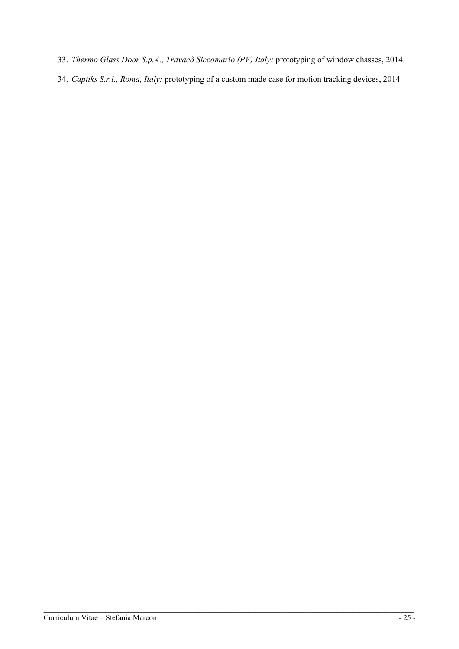- 33. *Thermo Glass Door S.p.A., Travacò Siccomario (PV) Italy:* prototyping of window chasses, 2014.
- 34. *Captiks S.r.l., Roma, Italy:* prototyping of a custom made case for motion tracking devices, 2014